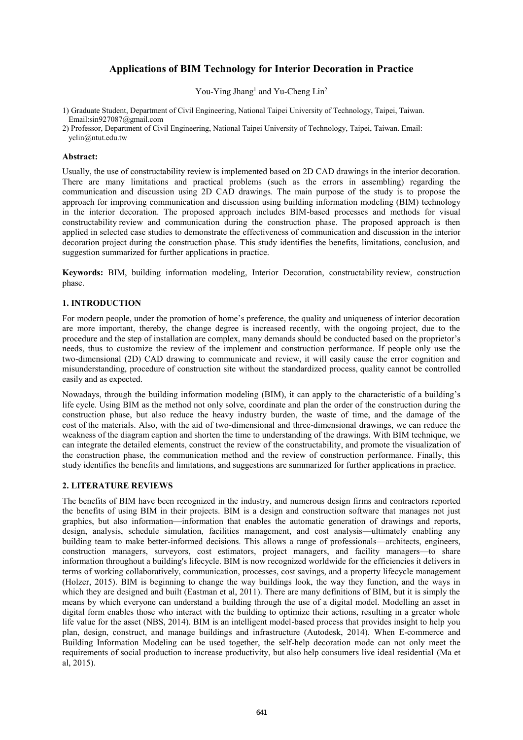# **Applications of BIM Technology for Interior Decoration in Practice**

You-Ying Jhang<sup>1</sup> and Yu-Cheng Lin<sup>2</sup>

1) Graduate Student, Department of Civil Engineering, National Taipei University of Technology, Taipei, Taiwan. Email:sin927087@gmail.com

2) Professor, Department of Civil Engineering, National Taipei University of Technology, Taipei, Taiwan. Email: yclin@ntut.edu.tw

#### **Abstract:**

Usually, the use of constructability review is implemented based on 2D CAD drawings in the interior decoration. There are many limitations and practical problems (such as the errors in assembling) regarding the communication and discussion using 2D CAD drawings. The main purpose of the study is to propose the approach for improving communication and discussion using building information modeling (BIM) technology in the interior decoration. The proposed approach includes BIM-based processes and methods for visual constructability review and communication during the construction phase. The proposed approach is then applied in selected case studies to demonstrate the effectiveness of communication and discussion in the interior decoration project during the construction phase. This study identifies the benefits, limitations, conclusion, and suggestion summarized for further applications in practice.

**Keywords:** BIM, building information modeling, Interior Decoration, constructability review, construction phase.

## **1. INTRODUCTION**

For modern people, under the promotion of home's preference, the quality and uniqueness of interior decoration are more important, thereby, the change degree is increased recently, with the ongoing project, due to the procedure and the step of installation are complex, many demands should be conducted based on the proprietor's needs, thus to customize the review of the implement and construction performance. If people only use the two-dimensional (2D) CAD drawing to communicate and review, it will easily cause the error cognition and misunderstanding, procedure of construction site without the standardized process, quality cannot be controlled easily and as expected.

Nowadays, through the building information modeling (BIM), it can apply to the characteristic of a building's life cycle. Using BIM as the method not only solve, coordinate and plan the order of the construction during the construction phase, but also reduce the heavy industry burden, the waste of time, and the damage of the cost of the materials. Also, with the aid of two-dimensional and three-dimensional drawings, we can reduce the weakness of the diagram caption and shorten the time to understanding of the drawings. With BIM technique, we can integrate the detailed elements, construct the review of the constructability, and promote the visualization of the construction phase, the communication method and the review of construction performance. Finally, this study identifies the benefits and limitations, and suggestions are summarized for further applications in practice.

## **2. LITERATURE REVIEWS**

The benefits of BIM have been recognized in the industry, and numerous design firms and contractors reported the benefits of using BIM in their projects. BIM is a design and construction software that manages not just graphics, but also information—information that enables the automatic generation of drawings and reports, design, analysis, schedule simulation, facilities management, and cost analysis—ultimately enabling any building team to make better-informed decisions. This allows a range of professionals—architects, engineers, construction managers, surveyors, cost estimators, project managers, and facility managers—to share information throughout a building's lifecycle. BIM is now recognized worldwide for the efficiencies it delivers in terms of working collaboratively, communication, processes, cost savings, and a property lifecycle management (Holzer, 2015). BIM is beginning to change the way buildings look, the way they function, and the ways in which they are designed and built (Eastman et al, 2011). There are many definitions of BIM, but it is simply the means by which everyone can understand a building through the use of a digital model. Modelling an asset in digital form enables those who interact with the building to optimize their actions, resulting in a greater whole life value for the asset (NBS, 2014). BIM is an intelligent model-based process that provides insight to help you plan, design, construct, and manage buildings and infrastructure (Autodesk, 2014). When E-commerce and Building Information Modeling can be used together, the self-help decoration mode can not only meet the requirements of social production to increase productivity, but also help consumers live ideal residential (Ma et al, 2015).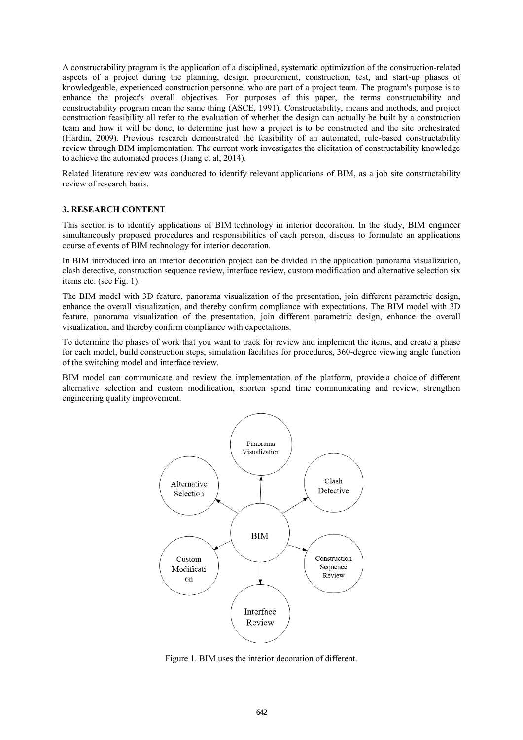A constructability program is the application of a disciplined, systematic optimization of the construction-related aspects of a project during the planning, design, procurement, construction, test, and start-up phases of knowledgeable, experienced construction personnel who are part of a project team. The program's purpose is to enhance the project's overall objectives. For purposes of this paper, the terms constructability and constructability program mean the same thing (ASCE, 1991). Constructability, means and methods, and project construction feasibility all refer to the evaluation of whether the design can actually be built by a construction team and how it will be done, to determine just how a project is to be constructed and the site orchestrated (Hardin, 2009). Previous research demonstrated the feasibility of an automated, rule-based constructability review through BIM implementation. The current work investigates the elicitation of constructability knowledge to achieve the automated process (Jiang et al, 2014).

Related literature review was conducted to identify relevant applications of BIM, as a job site constructability review of research basis.

#### **3. RESEARCH CONTENT**

This section is to identify applications of BIM technology in interior decoration. In the study, BIM engineer simultaneously proposed procedures and responsibilities of each person, discuss to formulate an applications course of events of BIM technology for interior decoration.

In BIM introduced into an interior decoration project can be divided in the application panorama visualization, clash detective, construction sequence review, interface review, custom modification and alternative selection six items etc. (see Fig. 1).

The BIM model with 3D feature, panorama visualization of the presentation, join different parametric design, enhance the overall visualization, and thereby confirm compliance with expectations. The BIM model with 3D feature, panorama visualization of the presentation, join different parametric design, enhance the overall visualization, and thereby confirm compliance with expectations.

To determine the phases of work that you want to track for review and implement the items, and create a phase for each model, build construction steps, simulation facilities for procedures, 360-degree viewing angle function of the switching model and interface review.

BIM model can communicate and review the implementation of the platform, provide a choice of different alternative selection and custom modification, shorten spend time communicating and review, strengthen engineering quality improvement.



Figure 1. BIM uses the interior decoration of different.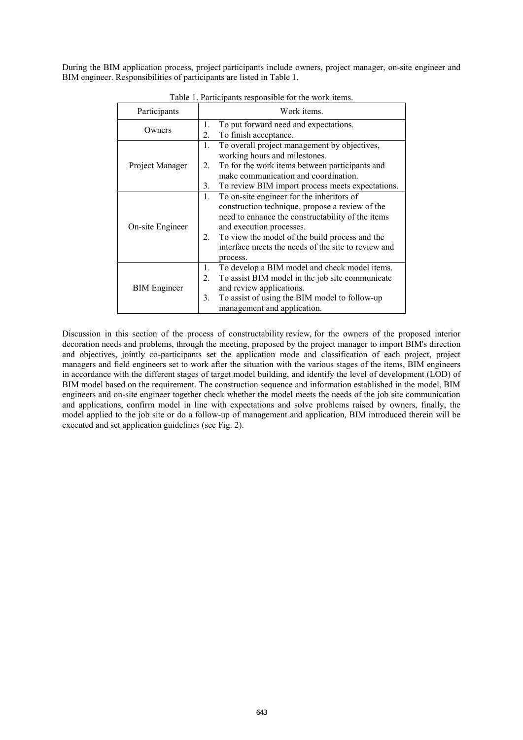During the BIM application process, project participants include owners, project manager, on-site engineer and BIM engineer. Responsibilities of participants are listed in Table 1.

| Participants        |                | Work items.                                                                                                                                                                                                                                                                                        |
|---------------------|----------------|----------------------------------------------------------------------------------------------------------------------------------------------------------------------------------------------------------------------------------------------------------------------------------------------------|
| Owners              | 1.<br>2.       | To put forward need and expectations.<br>To finish acceptance.                                                                                                                                                                                                                                     |
| Project Manager     | 1.             | To overall project management by objectives,<br>working hours and milestones.                                                                                                                                                                                                                      |
|                     | 2.             | To for the work items between participants and<br>make communication and coordination.                                                                                                                                                                                                             |
|                     | 3.             | To review BIM import process meets expectations.                                                                                                                                                                                                                                                   |
| On-site Engineer    | 1.<br>2.       | To on-site engineer for the inheritors of<br>construction technique, propose a review of the<br>need to enhance the constructability of the items<br>and execution processes.<br>To view the model of the build process and the<br>interface meets the needs of the site to review and<br>process. |
| <b>BIM</b> Engineer | 1.<br>2.<br>3. | To develop a BIM model and check model items.<br>To assist BIM model in the job site communicate<br>and review applications.<br>To assist of using the BIM model to follow-up<br>management and application.                                                                                       |

Table 1. Participants responsible for the work items.

Discussion in this section of the process of constructability review, for the owners of the proposed interior decoration needs and problems, through the meeting, proposed by the project manager to import BIM's direction and objectives, jointly co-participants set the application mode and classification of each project, project managers and field engineers set to work after the situation with the various stages of the items, BIM engineers in accordance with the different stages of target model building, and identify the level of development (LOD) of BIM model based on the requirement. The construction sequence and information established in the model, BIM engineers and on-site engineer together check whether the model meets the needs of the job site communication and applications, confirm model in line with expectations and solve problems raised by owners, finally, the model applied to the job site or do a follow-up of management and application, BIM introduced therein will be executed and set application guidelines (see Fig. 2).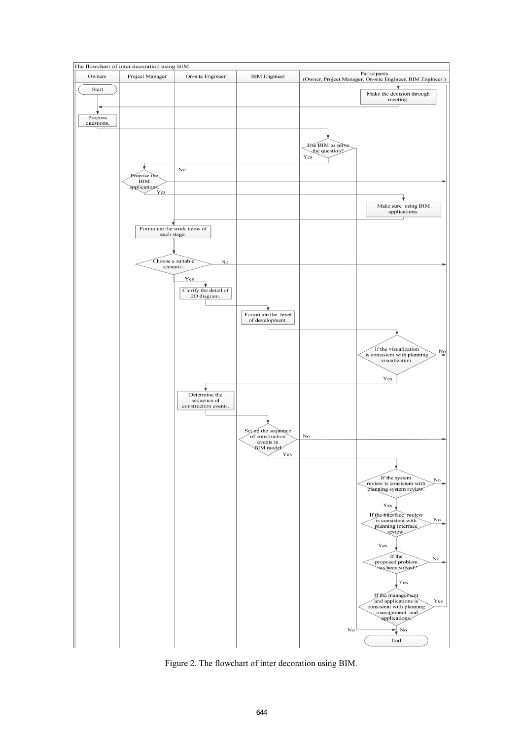

Figure 2. The flowchart of inter decoration using BIM.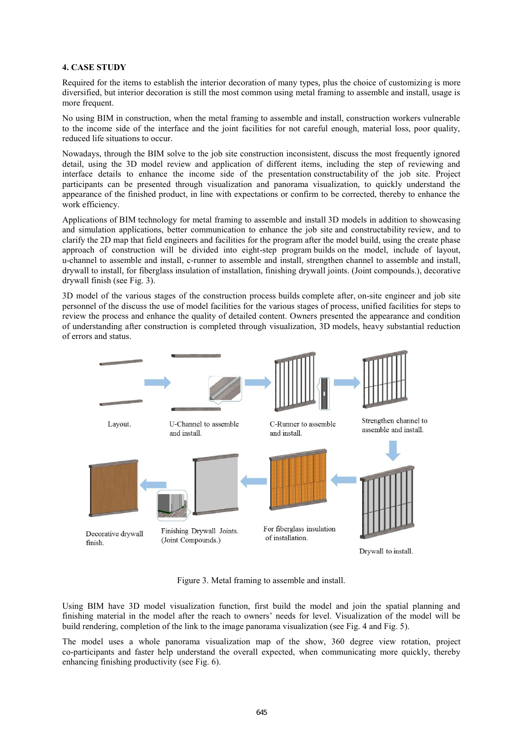#### **4. CASE STUDY**

Required for the items to establish the interior decoration of many types, plus the choice of customizing is more diversified, but interior decoration is still the most common using metal framing to assemble and install, usage is more frequent.

No using BIM in construction, when the metal framing to assemble and install, construction workers vulnerable to the income side of the interface and the joint facilities for not careful enough, material loss, poor quality, reduced life situations to occur.

Nowadays, through the BIM solve to the job site construction inconsistent, discuss the most frequently ignored detail, using the 3D model review and application of different items, including the step of reviewing and interface details to enhance the income side of the presentation constructability of the job site. Project participants can be presented through visualization and panorama visualization, to quickly understand the appearance of the finished product, in line with expectations or confirm to be corrected, thereby to enhance the work efficiency.

Applications of BIM technology for metal framing to assemble and install 3D models in addition to showcasing and simulation applications, better communication to enhance the job site and constructability review, and to clarify the 2D map that field engineers and facilities for the program after the model build, using the create phase approach of construction will be divided into eight-step program builds on the model, include of layout, u-channel to assemble and install, c-runner to assemble and install, strengthen channel to assemble and install, drywall to install, for fiberglass insulation of installation, finishing drywall joints. (Joint compounds.), decorative drywall finish (see Fig. 3).

3D model of the various stages of the construction process builds complete after, on-site engineer and job site personnel of the discuss the use of model facilities for the various stages of process, unified facilities for steps to review the process and enhance the quality of detailed content. Owners presented the appearance and condition of understanding after construction is completed through visualization, 3D models, heavy substantial reduction of errors and status.



Figure 3. Metal framing to assemble and install.

Using BIM have 3D model visualization function, first build the model and join the spatial planning and finishing material in the model after the reach to owners' needs for level. Visualization of the model will be build rendering, completion of the link to the image panorama visualization (see Fig. 4 and Fig. 5).

The model uses a whole panorama visualization map of the show, 360 degree view rotation, project co-participants and faster help understand the overall expected, when communicating more quickly, thereby enhancing finishing productivity (see Fig. 6).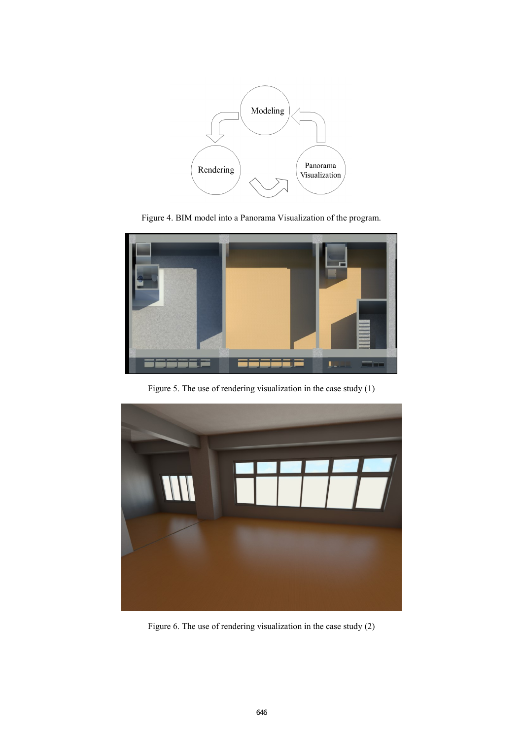

Figure 4. BIM model into a Panorama Visualization of the program.



Figure 5. The use of rendering visualization in the case study (1)



Figure 6. The use of rendering visualization in the case study (2)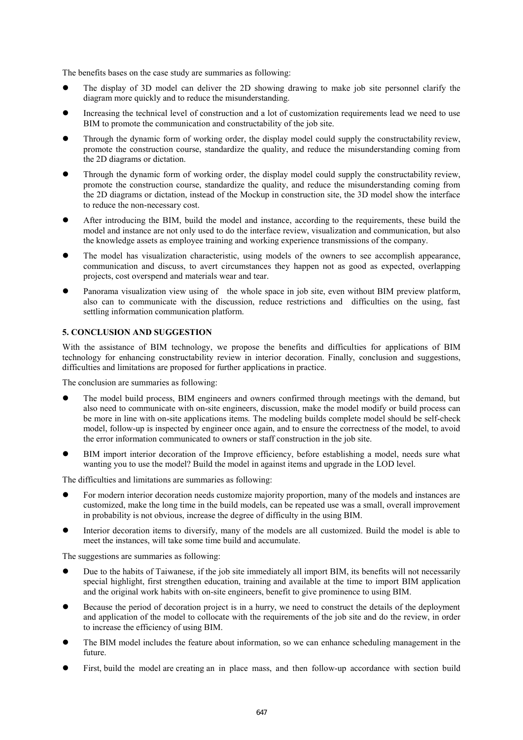The benefits bases on the case study are summaries as following:

- The display of 3D model can deliver the 2D showing drawing to make job site personnel clarify the diagram more quickly and to reduce the misunderstanding.
- Increasing the technical level of construction and a lot of customization requirements lead we need to use BIM to promote the communication and constructability of the job site.
- Through the dynamic form of working order, the display model could supply the constructability review, promote the construction course, standardize the quality, and reduce the misunderstanding coming from the 2D diagrams or dictation.
- Through the dynamic form of working order, the display model could supply the constructability review, promote the construction course, standardize the quality, and reduce the misunderstanding coming from the 2D diagrams or dictation, instead of the Mockup in construction site, the 3D model show the interface to reduce the non-necessary cost.
- After introducing the BIM, build the model and instance, according to the requirements, these build the model and instance are not only used to do the interface review, visualization and communication, but also the knowledge assets as employee training and working experience transmissions of the company.
- The model has visualization characteristic, using models of the owners to see accomplish appearance, communication and discuss, to avert circumstances they happen not as good as expected, overlapping projects, cost overspend and materials wear and tear.
- Panorama visualization view using of the whole space in job site, even without BIM preview platform, also can to communicate with the discussion, reduce restrictions and difficulties on the using, fast settling information communication platform.

# **5. CONCLUSION AND SUGGESTION**

With the assistance of BIM technology, we propose the benefits and difficulties for applications of BIM technology for enhancing constructability review in interior decoration. Finally, conclusion and suggestions, difficulties and limitations are proposed for further applications in practice.

The conclusion are summaries as following:

- The model build process, BIM engineers and owners confirmed through meetings with the demand, but also need to communicate with on-site engineers, discussion, make the model modify or build process can be more in line with on-site applications items. The modeling builds complete model should be self-check model, follow-up is inspected by engineer once again, and to ensure the correctness of the model, to avoid the error information communicated to owners or staff construction in the job site.
- BIM import interior decoration of the Improve efficiency, before establishing a model, needs sure what wanting you to use the model? Build the model in against items and upgrade in the LOD level.

The difficulties and limitations are summaries as following:

- For modern interior decoration needs customize majority proportion, many of the models and instances are customized, make the long time in the build models, can be repeated use was a small, overall improvement in probability is not obvious, increase the degree of difficulty in the using BIM.
- Interior decoration items to diversify, many of the models are all customized. Build the model is able to meet the instances, will take some time build and accumulate.

The suggestions are summaries as following:

- Due to the habits of Taiwanese, if the job site immediately all import BIM, its benefits will not necessarily special highlight, first strengthen education, training and available at the time to import BIM application and the original work habits with on-site engineers, benefit to give prominence to using BIM.
- Because the period of decoration project is in a hurry, we need to construct the details of the deployment and application of the model to collocate with the requirements of the job site and do the review, in order to increase the efficiency of using BIM.
- The BIM model includes the feature about information, so we can enhance scheduling management in the future.
- First, build the model are creating an in place mass, and then follow-up accordance with section build